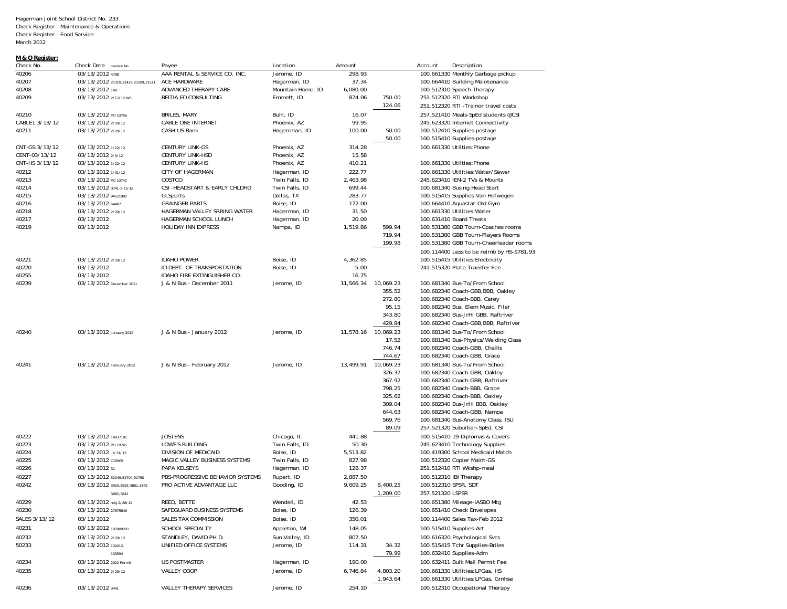## **M & O Register:**

| Check No.      | Check Date Invoice No.             | Payee                            | Location          | Amount    |                     | Account          | Description                                |
|----------------|------------------------------------|----------------------------------|-------------------|-----------|---------------------|------------------|--------------------------------------------|
| 40206          | 03/13/2012 4788                    | AAA RENTAL & SERVICE CO. INC.    | Jerome, ID        | 298.93    |                     |                  | 100.661330 Monthly Garbage pickup          |
| 40207          | 03/13/2012 21310,21427,21509,21511 | ACE HARDWARE                     | Hagerman, ID      | 37.34     |                     |                  | 100.664410 Building Maintenance            |
| 40208          | 03/13/2012 148                     | ADVANCED THERAPY CARE            | Mountain Home, ID | 6,080.00  |                     |                  | 100.512310 Speech Therapy                  |
| 40209          | 03/13/2012 2/17/12 WS              | BEITIA ED CONSULTING             | Emmett, ID        | 874.06    | 750.00              |                  | 251.512320 RTI Workshop                    |
|                |                                    |                                  |                   |           | 124.06              |                  | 251.512320 RTI -Trainor travel costs       |
| 40210          | 03/13/2012 PO 10766                | BRILES, MARY                     | Buhl, ID          | 16.07     |                     |                  | 257.521410 Meals-SpEd students @CSI        |
| CABLE1 3/13/12 | 03/13/2012 2/29/12                 | CABLE ONE INTERNET               | Phoenix, AZ       | 99.95     |                     |                  | 245.623320 Internet Connectivity           |
| 40211          | 03/13/2012 2/29/12                 | CASH-US Bank                     | Hagerrman, ID     | 100.00    | 50.00               |                  | 100.512410 Supplies-postage                |
|                |                                    |                                  |                   |           | 50.00               |                  | 100.515410 Supplies-postage                |
| CNT-GS 3/13/12 | 03/13/2012 1/22/12                 | <b>CENTURY LINK-GS</b>           | Phoenix, AZ       | 314.28    |                     |                  | 100.661330 Utilties:Phone                  |
| CENT-03/13/12  | 03/13/2012 2/3/12                  |                                  | Phoenix, AZ       |           |                     |                  |                                            |
|                |                                    | <b>CENTURY LINK-HSD</b>          |                   | 15.58     |                     |                  |                                            |
| CNT-HS 3/13/12 | 03/13/2012 1/22/12                 | <b>CENTURY LINK-HS</b>           | Phoenix, AZ       | 410.21    |                     |                  | 100.661330 Utilties: Phone                 |
| 40212          | 03/13/2012 1/31/12                 | CITY OF HAGERMAN                 | Hagerman, ID      | 222.77    |                     |                  | 100.661330 Utilities: Water/Sewer          |
| 40213          | 03/13/2012 PO 10742                | COSTCO                           | Twin Falls, ID    | 2,463.98  |                     |                  | 245.623410 IEN-2 TVs & Mounts              |
| 40214          | 03/13/2012 0741-2-15-12            | CSI-HEADSTART & EARLY CHLDHD     | Twin Falls, ID    | 699.44    |                     |                  | 100.681340 Busing: Head Start              |
| 40215          | 03/13/2012 94521882                | GLSports                         | Dallas, TX        | 283.77    |                     |                  | 100.515415 Supplies-Van Hofwegen           |
| 40216          | 03/13/2012 64487                   | <b>GRAINGER PARTS</b>            | Boise, ID         | 172.00    |                     |                  | 100.664410 Aquastat-Old Gym                |
| 40218          | 03/13/2012 2/29/12                 | HAGERMAN VALLEY SRRING WATER     | Hagerman, ID      | 31.50     |                     |                  | 100.661330 Utilities: Water                |
| 40217          | 03/13/2012                         | HAGERMAN SCHOOL LUNCH            | Hagerman, ID      | 20.00     |                     |                  | 100.631410 Board Treats                    |
| 40219          | 03/13/2012                         | HOLIDAY INN EXPRESS              | Nampa, ID         | 1,519.86  | 599.94              |                  | 100.531380 GBB Tourn-Coaches rooms         |
|                |                                    |                                  |                   |           | 719.94              |                  | 100.531380 GBB Tourn-Players Rooms         |
|                |                                    |                                  |                   |           | 199.98              |                  | 100.531380 GBB Tourn-Cheerleader rooms     |
|                |                                    |                                  |                   |           |                     |                  | 100.114400 Less to be reimb by HS-\$781.93 |
| 40221          | 03/13/2012 2/29/12                 | <b>IDAHO POWER</b>               | Boise, ID         | 4.362.85  |                     |                  | 100.515415 Utilities: Electricity          |
| 40220          | 03/13/2012                         | ID DEPT. OF TRANSPORTATION       | Boise, ID         | 5.00      |                     |                  | 241.515320 Plate Transfer Fee              |
| 40255          | 03/13/2012                         | IDAHO FIRE EXTINGUISHER CO.      |                   | 16.75     |                     |                  |                                            |
| 40239          | 03/13/2012 December 2011           | J & N Bus - December 2011        | Jerome, ID        | 11,566.34 | 10,069.23           |                  | 100.681340 Bus-To/From School              |
|                |                                    |                                  |                   |           | 355.52              |                  | 100.682340 Coach-GBB, BBB, Oakley          |
|                |                                    |                                  |                   |           | 272.80              |                  | 100.682340 Coach-BBB, Carey                |
|                |                                    |                                  |                   |           | 95.15               |                  | 100.682340 Bus, Elem Music, Filer          |
|                |                                    |                                  |                   |           |                     |                  |                                            |
|                |                                    |                                  |                   |           | 343.80              |                  | 100.682340 Bus-JrHi GBB, Raftriver         |
|                |                                    |                                  |                   |           | 429.84              |                  | 100.682340 Coach-GBB, BBB, Raftriver       |
| 40240          | 03/13/2012 January 2012            | J & N Bus - January 2012         | Jerome, ID        |           | 11,578.16 10,069.23 |                  | 100.681340 Bus-To/From School              |
|                |                                    |                                  |                   |           | 17.52               |                  | 100.681340 Bus-Physics/Welding Class       |
|                |                                    |                                  |                   |           | 746.74              |                  | 100.682340 Coach-GBB, Challis              |
|                |                                    |                                  |                   |           | 744.67              |                  | 100.682340 Coach-GBB, Grace                |
| 40241          | 03/13/2012 February 2012           | J & N Bus - February 2012        | Jerome, ID        | 13,499.91 | 10,069.23           |                  | 100.681340 Bus-To/From School              |
|                |                                    |                                  |                   |           | 326.37              |                  | 100.682340 Coach-GBB, Oakley               |
|                |                                    |                                  |                   |           | 367.92              |                  | 100.682340 Coach-GBB, Raftriver            |
|                |                                    |                                  |                   |           | 798.25              |                  | 100.682340 Coach-BBB, Grace                |
|                |                                    |                                  |                   |           | 325.62              |                  | 100.682340 Coach-BBB, Oakley               |
|                |                                    |                                  |                   |           | 309.04              |                  | 100.682340 Bus-JrHi BBB, Oakley            |
|                |                                    |                                  |                   |           | 644.63              |                  | 100.682340 Coach-GBB, Nampa                |
|                |                                    |                                  |                   |           | 569.76              |                  | 100.681340 Bus-Anatomy Class, ISU          |
|                |                                    |                                  |                   |           | 89.09               |                  | 257.521320 Suburban-SpEd, CSI              |
| 40222          | 03/13/2012 14937181                | <b>JOSTENS</b>                   | Chicago, IL       | 441.88    |                     |                  | 100.515410 19-Diplomas & Covers            |
| 40223          | 03/13/2012 PO 10745                | LOWE'S BUILDING                  | Twin Falls, ID    | 50.30     |                     |                  | 245.623410 Technology Supplies             |
| 40224          | 03/13/2012 1/31/12                 | DIVISION OF MEDICAID             | Boise, ID         | 5,513.82  |                     |                  | 100.419300 School Medicaid Match           |
| 40225          | 03/13/2012 c15905                  | MAGIC VALLEY BUSINESS SYSTEMS    | Twin Falls, ID    | 827.98    |                     |                  | 100.512320 Copier Maint-GS                 |
| 40226          | 03/13/2012 31                      | PAPA KELSEYS                     | Hagerman, ID      | 128.37    |                     |                  | 251.512410 RTI Wkshp-meal                  |
|                |                                    |                                  |                   |           |                     |                  |                                            |
| 40227          | 03/13/2012 52049,51704,51750       | PBS-PROGRESSIVE BEHAVIOR SYSTEMS | Rupert, ID        | 2,887.50  |                     |                  | 100.512310 IBI Therapy                     |
| 40242          | 03/13/2012 3903,3923,3881,3842     | PRO ACTIVE ADVANTAGE LLC         | Gooding, ID       | 9,609.25  | 8,400.25            |                  | 100.512310 SPSR, SDT                       |
|                | 3882,3841                          |                                  |                   |           | 1,209.00            | 257.521320 LSPSR |                                            |
| 40229          | 03/13/2012 mlg 2/28/12             | REED, BETTE                      | Wendell, ID       | 42.53     |                     |                  | 100.651380 Mileage-IASBO Mtg               |
| 40230          | 03/13/2012 27675846                | SAFEGUARD BUSINESS SYSTEMS       | Boise, ID         | 126.39    |                     |                  | 100.651410 Check Envelopes                 |
| SALES 3/13/12  | 03/13/2012                         | SALES TAX COMMISSION             | Boise, ID         | 350.01    |                     |                  | 100.114400 Sales Tax-Feb 2012              |
| 40231          | 03/13/2012 107800201               | SCHOOL SPECIALTY                 | Appleton, WI      | 148.05    |                     |                  | 100.515410 Supplies-Art                    |
| 40232          | 03/13/2012 2/29/12                 | STANDLEY, DAVID PH.D.            | Sun Valley, ID    | 807.50    |                     |                  | 100.616320 Psychological Svcs              |
| 50233          | 03/13/2012 132012,                 | UNIFIED OFFICE SYSTEMS           | Jerome, ID        | 114.31    | 34.32               |                  | 100.515415 Tchr Supplies-Briles            |
|                | 133594                             |                                  |                   |           | 79.99               |                  | 100.632410 Supplies-Adm                    |
|                |                                    |                                  |                   | 190.00    |                     |                  |                                            |
| 40234          | 03/13/2012 2012 Permit             | US POSTMASTER                    | Hagerman, ID      |           |                     |                  | 100.632411 Bulk Mail Permit Fee            |
| 40235          | 03/13/2012 2/29/12                 | VALLEY COOP                      | Jerome, ID        | 6,746.84  | 4,803.20            |                  | 100.661330 Utilities: LPGas, HS            |
|                |                                    |                                  |                   |           | 1,943.64            |                  | 100.661330 Utilities: LPGas, Grnhse        |
| 40236          | 03/13/2012 3441                    | VALLEY THERAPY SERVICES          | Jerome, ID        | 254.10    |                     |                  | 100.512310 Occupational Therapy            |